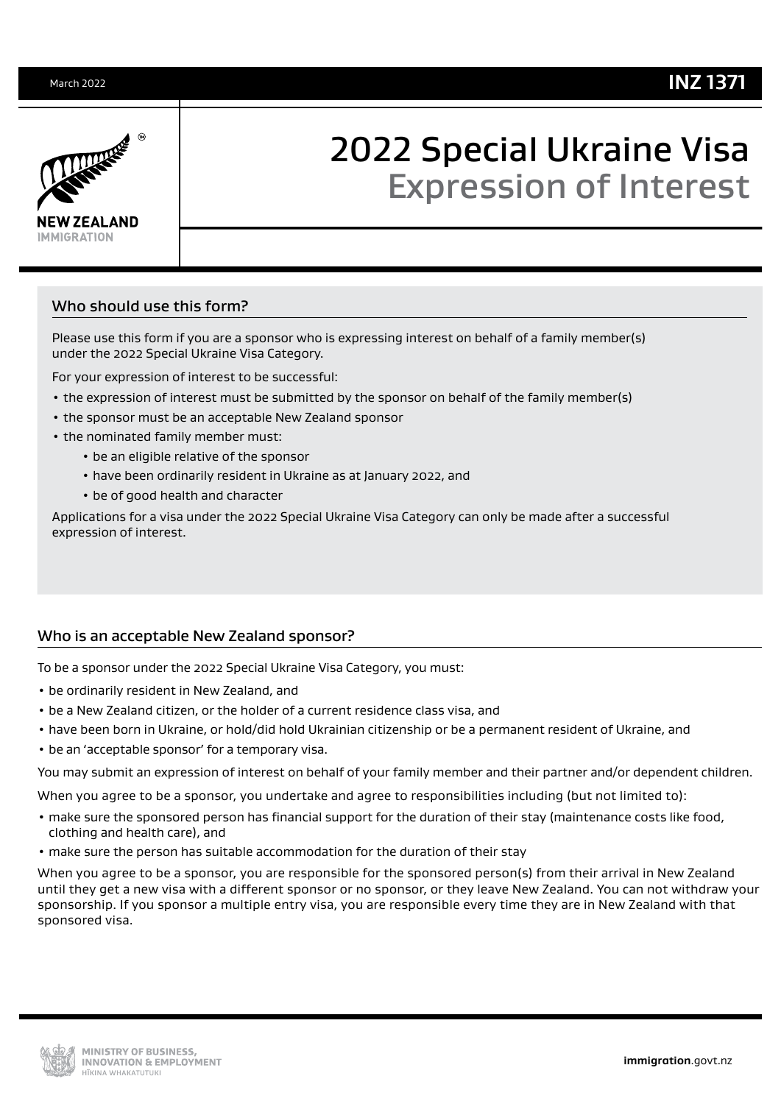

# 2022 Special Ukraine Visa Expression of Interest

# Who should use this form?

Please use this form if you are a sponsor who is expressing interest on behalf of a family member(s) under the 2022 Special Ukraine Visa Category.

For your expression of interest to be successful:

- the expression of interest must be submitted by the sponsor on behalf of the family member(s)
- the sponsor must be an acceptable New Zealand sponsor
- the nominated family member must:
	- be an eligible relative of the sponsor
	- have been ordinarily resident in Ukraine as at January 2022, and
	- be of good health and character

Applications for a visa under the 2022 Special Ukraine Visa Category can only be made after a successful expression of interest.

# Who is an acceptable New Zealand sponsor?

To be a sponsor under the 2022 Special Ukraine Visa Category, you must:

- be ordinarily resident in New Zealand, and
- be a New Zealand citizen, or the holder of a current residence class visa, and
- have been born in Ukraine, or hold/did hold Ukrainian citizenship or be a permanent resident of Ukraine, and
- be an 'acceptable sponsor' for a temporary visa.

You may submit an expression of interest on behalf of your family member and their partner and/or dependent children.

When you agree to be a sponsor, you undertake and agree to responsibilities including (but not limited to):

- make sure the sponsored person has financial support for the duration of their stay (maintenance costs like food, clothing and health care), and
- make sure the person has suitable accommodation for the duration of their stay

When you agree to be a sponsor, you are responsible for the sponsored person(s) from their arrival in New Zealand until they get a new visa with a different sponsor or no sponsor, or they leave New Zealand. You can not withdraw your sponsorship. If you sponsor a multiple entry visa, you are responsible every time they are in New Zealand with that sponsored visa.

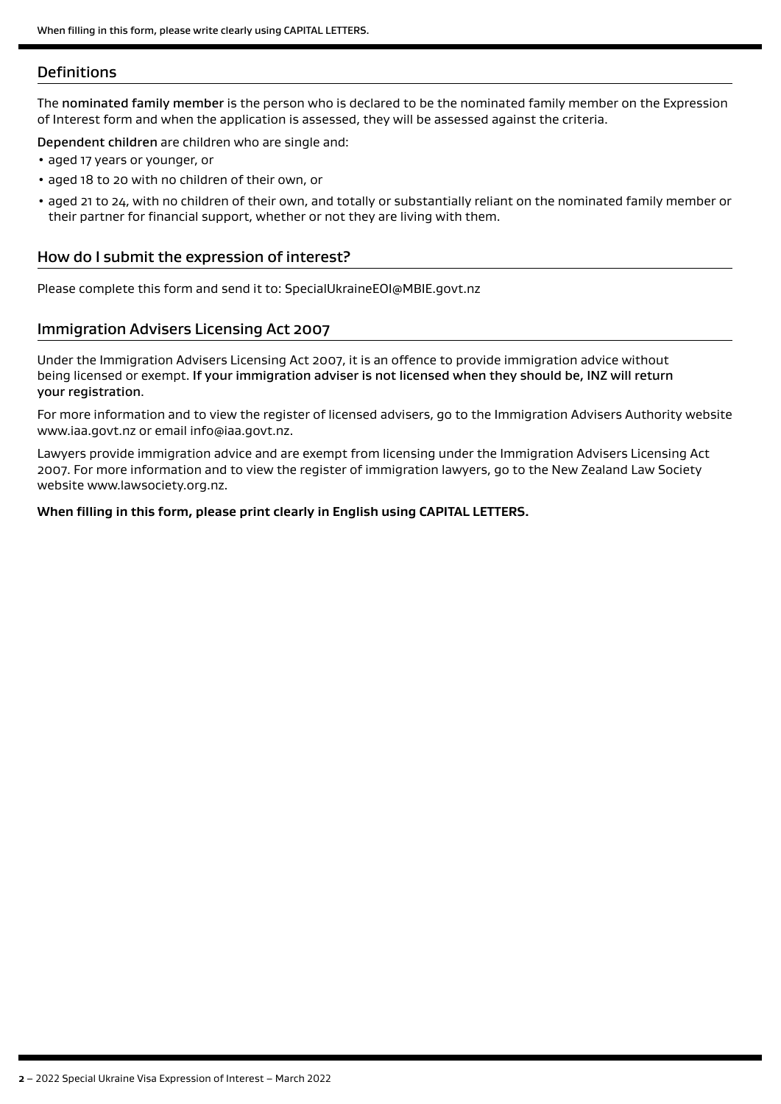## **Definitions**

The nominated family member is the person who is declared to be the nominated family member on the Expression of Interest form and when the application is assessed, they will be assessed against the criteria.

Dependent children are children who are single and:

- aged 17 years or younger, or
- aged 18 to 20 with no children of their own, or
- aged 21 to 24, with no children of their own, and totally or substantially reliant on the nominated family member or their partner for financial support, whether or not they are living with them.

## How do I submit the expression of interest?

Please complete this form and send it to: SpecialUkraineEOI@MBIE.govt.nz

## Immigration Advisers Licensing Act 2007

Under the Immigration Advisers Licensing Act 2007, it is an offence to provide immigration advice without being licensed or exempt. If your immigration adviser is not licensed when they should be, INZ will return your registration.

For more information and to view the register of licensed advisers, go to the Immigration Advisers Authority website www.iaa.govt.nz or email info@iaa.govt.nz.

Lawyers provide immigration advice and are exempt from licensing under the Immigration Advisers Licensing Act 2007. For more information and to view the register of immigration lawyers, go to the New Zealand Law Society website www.lawsociety.org.nz.

#### **When filling in this form, please print clearly in English using CAPITAL LETTERS.**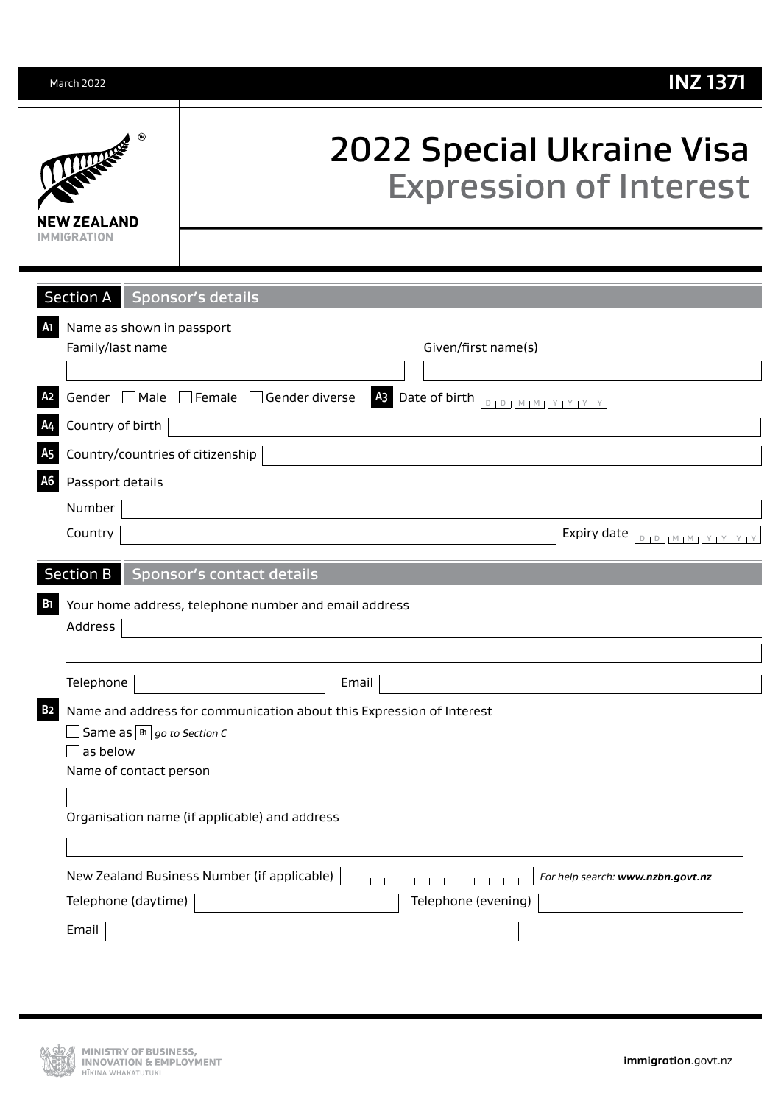| March 2022                                                                | <b>INZ 1371</b>                                                                                                                                                                       |
|---------------------------------------------------------------------------|---------------------------------------------------------------------------------------------------------------------------------------------------------------------------------------|
| <b>TANKER</b><br>Ν 7FΔΙ ΔΝΠ<br>MMIGRATION                                 | 2022 Special Ukraine Visa<br><b>Expression of Interest</b>                                                                                                                            |
| <b>Section A</b>                                                          | <b>Sponsor's details</b>                                                                                                                                                              |
| Name as shown in passport<br>Family/last name                             | Given/first name(s)                                                                                                                                                                   |
|                                                                           | 43 Date of birth<br>Gender □ Male □ Female □ Gender diverse<br>$\begin{array}{c}\nD \parallel D \parallel M \parallel M \parallel Y \parallel Y \parallel Y \parallel Y\n\end{array}$ |
| Country of birth                                                          |                                                                                                                                                                                       |
| Country/countries of citizenship                                          |                                                                                                                                                                                       |
| A <sub>6</sub><br>Passport details                                        |                                                                                                                                                                                       |
| Number                                                                    |                                                                                                                                                                                       |
| Country                                                                   | Expiry date $\boxed{\text{DID} \cup \text{M} \cup \text{N} \cup \text{Y} \cup \text{Y} \cup \text{Y}}$                                                                                |
| <b>Section B</b>                                                          | Sponsor's contact details                                                                                                                                                             |
| Address                                                                   | Your home address, telephone number and email address                                                                                                                                 |
| Telephone                                                                 | Email                                                                                                                                                                                 |
| Same as $\boxed{B}$ go to Section C<br>as below<br>Name of contact person | Name and address for communication about this Expression of Interest                                                                                                                  |
|                                                                           | Organisation name (if applicable) and address                                                                                                                                         |
|                                                                           | New Zealand Business Number (if applicable)<br>For help search: www.nzbn.govt.nz                                                                                                      |
| Telephone (daytime)                                                       | Telephone (evening)                                                                                                                                                                   |
| Email                                                                     |                                                                                                                                                                                       |
|                                                                           |                                                                                                                                                                                       |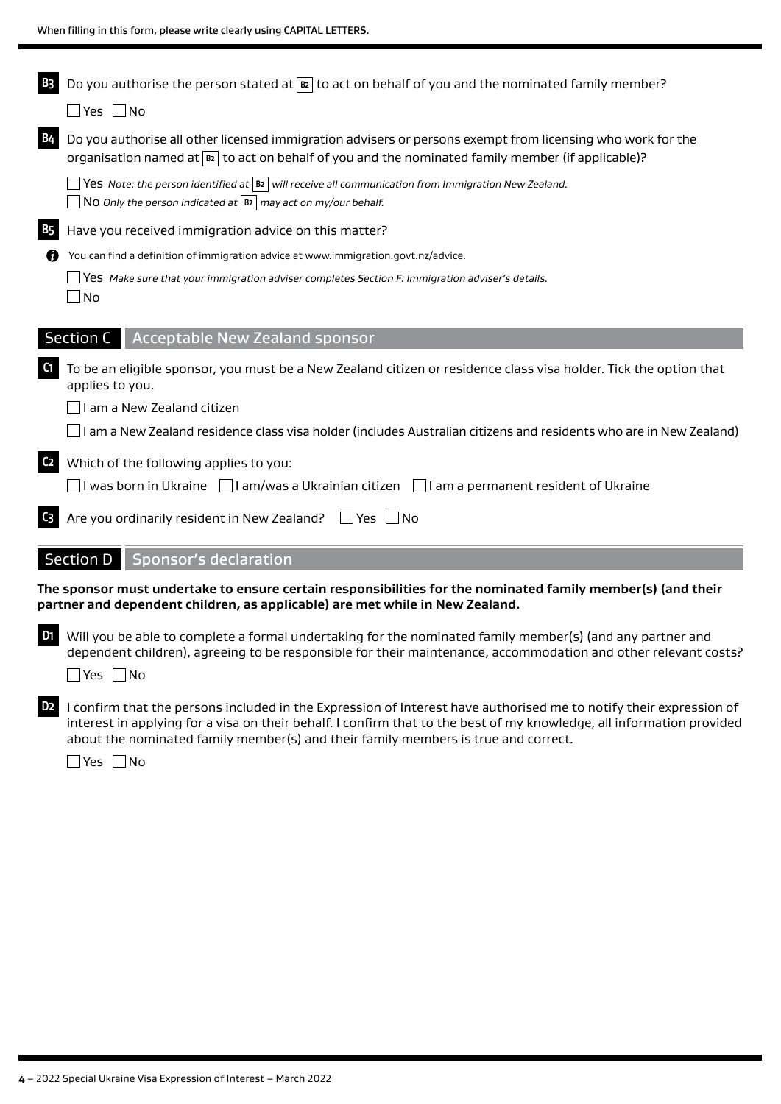| B <sub>3</sub> | Do you authorise the person stated at $\boxed{B2}$ to act on behalf of you and the nominated family member?                                                                                                                                                                                                                       |
|----------------|-----------------------------------------------------------------------------------------------------------------------------------------------------------------------------------------------------------------------------------------------------------------------------------------------------------------------------------|
|                | $\Box$ Yes $\Box$ No                                                                                                                                                                                                                                                                                                              |
| <b>B4</b>      | Do you authorise all other licensed immigration advisers or persons exempt from licensing who work for the<br>organisation named at $ B $ to act on behalf of you and the nominated family member (if applicable)?                                                                                                                |
|                | $\Box$ Yes Note: the person identified at $ \mathbf{B2} $ will receive all communication from Immigration New Zealand.<br>No Only the person indicated at $ B_2 $ may act on my/our behalf.                                                                                                                                       |
| <b>B5</b>      | Have you received immigration advice on this matter?                                                                                                                                                                                                                                                                              |
| 69             | You can find a definition of immigration advice at www.immigration.govt.nz/advice.                                                                                                                                                                                                                                                |
|                | $\Box$ Yes Make sure that your immigration adviser completes Section F: Immigration adviser's details.<br>$\Box$ No                                                                                                                                                                                                               |
|                | Section C<br><b>Acceptable New Zealand sponsor</b>                                                                                                                                                                                                                                                                                |
| C1             | To be an eligible sponsor, you must be a New Zealand citizen or residence class visa holder. Tick the option that<br>applies to you.                                                                                                                                                                                              |
|                | I am a New Zealand citizen                                                                                                                                                                                                                                                                                                        |
|                | $\Box$ I am a New Zealand residence class visa holder (includes Australian citizens and residents who are in New Zealand)                                                                                                                                                                                                         |
| C <sub>2</sub> | Which of the following applies to you:                                                                                                                                                                                                                                                                                            |
|                | $\Box$ I was born in Ukraine $\;\Box$ I am/was a Ukrainian citizen $\;\Box$ I am a permanent resident of Ukraine                                                                                                                                                                                                                  |
| $C_3$          | Are you ordinarily resident in New Zealand?<br>$\Box$ Yes $\Box$ No                                                                                                                                                                                                                                                               |
|                | <b>Section D</b><br><b>Sponsor's declaration</b>                                                                                                                                                                                                                                                                                  |
|                | The sponsor must undertake to ensure certain responsibilities for the nominated family member(s) (and their<br>partner and dependent children, as applicable) are met while in New Zealand.                                                                                                                                       |
| D1             | Will you be able to complete a formal undertaking for the nominated family member(s) (and any partner and<br>dependent children), agreeing to be responsible for their maintenance, accommodation and other relevant costs?<br>$\square$ Yes $\square$ No                                                                         |
| D <sub>2</sub> | I confirm that the persons included in the Expression of Interest have authorised me to notify their expression of<br>interest in applying for a visa on their behalf. I confirm that to the best of my knowledge, all information provided<br>about the nominated family member(s) and their family members is true and correct. |

■Yes ■No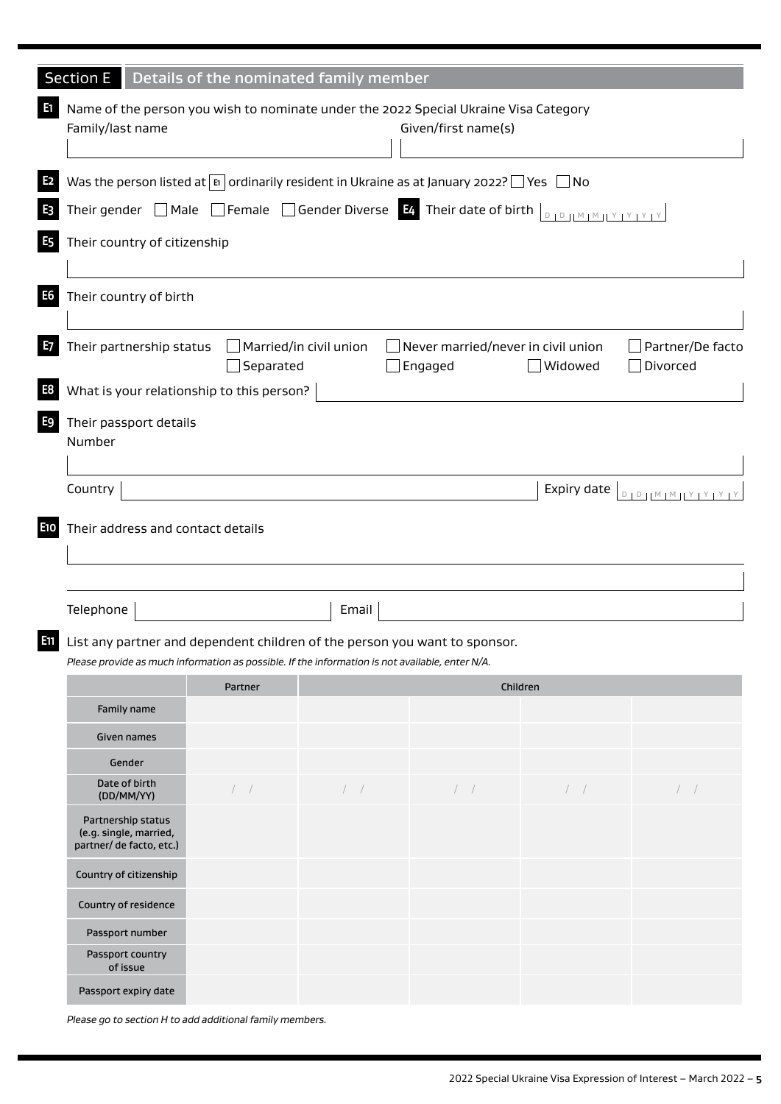| <b>Section E</b>                                                                                                                                                              | Details of the nominated family member |       |                        |             |                                 |  |  |  |  |  |
|-------------------------------------------------------------------------------------------------------------------------------------------------------------------------------|----------------------------------------|-------|------------------------|-------------|---------------------------------|--|--|--|--|--|
| Name of the person you wish to nominate under the 2022 Special Ukraine Visa Category<br>Family/last name                                                                      |                                        |       | Given/first name(s)    |             |                                 |  |  |  |  |  |
| Was the person listed at $\boxed{B}$ ordinarily resident in Ukraine as at January 2022? $\boxed{Y}$ es $\boxed{S}$ No                                                         |                                        |       |                        |             |                                 |  |  |  |  |  |
| Their gender $\Box$ Male $\Box$ Female $\Box$ Gender Diverse $\Box$ Their date of birth $\Box$                                                                                |                                        |       |                        |             |                                 |  |  |  |  |  |
| Their country of citizenship                                                                                                                                                  |                                        |       |                        |             |                                 |  |  |  |  |  |
| Their country of birth                                                                                                                                                        |                                        |       |                        |             |                                 |  |  |  |  |  |
| Their partnership status<br>Married/in civil union<br>Never married/never in civil union<br>Partner/De facto<br>Separated<br>Engaged<br>$\Box$ Widowed<br>Divorced            |                                        |       |                        |             |                                 |  |  |  |  |  |
| What is your relationship to this person?                                                                                                                                     |                                        |       |                        |             |                                 |  |  |  |  |  |
| Their passport details<br>Number                                                                                                                                              |                                        |       |                        |             |                                 |  |  |  |  |  |
| Country                                                                                                                                                                       |                                        |       |                        | Expiry date | $D + D + M + M + Y + Y + Y + Y$ |  |  |  |  |  |
| Their address and contact details<br>Telephone                                                                                                                                |                                        | Email |                        |             |                                 |  |  |  |  |  |
|                                                                                                                                                                               |                                        |       |                        |             |                                 |  |  |  |  |  |
| List any partner and dependent children of the person you want to sponsor.<br>Please provide as much information as possible. If the information is not available, enter N/A. |                                        |       |                        |             |                                 |  |  |  |  |  |
|                                                                                                                                                                               | <b>Partner</b>                         |       | Children               |             |                                 |  |  |  |  |  |
| Family name                                                                                                                                                                   |                                        |       |                        |             |                                 |  |  |  |  |  |
| Given names                                                                                                                                                                   |                                        |       |                        |             |                                 |  |  |  |  |  |
| Gender                                                                                                                                                                        |                                        |       |                        |             |                                 |  |  |  |  |  |
| Date of birth<br>(DD/MM/YY)                                                                                                                                                   | $/$ $/$                                | /     | $\left  \quad \right $ | $/$ $/$     | /                               |  |  |  |  |  |
| Partnership status<br>(e.g. single, married,<br>partner/ de facto, etc.)                                                                                                      |                                        |       |                        |             |                                 |  |  |  |  |  |
| Country of citizenship                                                                                                                                                        |                                        |       |                        |             |                                 |  |  |  |  |  |
| Country of residence                                                                                                                                                          |                                        |       |                        |             |                                 |  |  |  |  |  |
| Passport number                                                                                                                                                               |                                        |       |                        |             |                                 |  |  |  |  |  |
| Passport country<br>of issue                                                                                                                                                  |                                        |       |                        |             |                                 |  |  |  |  |  |
| Passport expiry date                                                                                                                                                          |                                        |       |                        |             |                                 |  |  |  |  |  |

*Please go to section H to add additional family members.*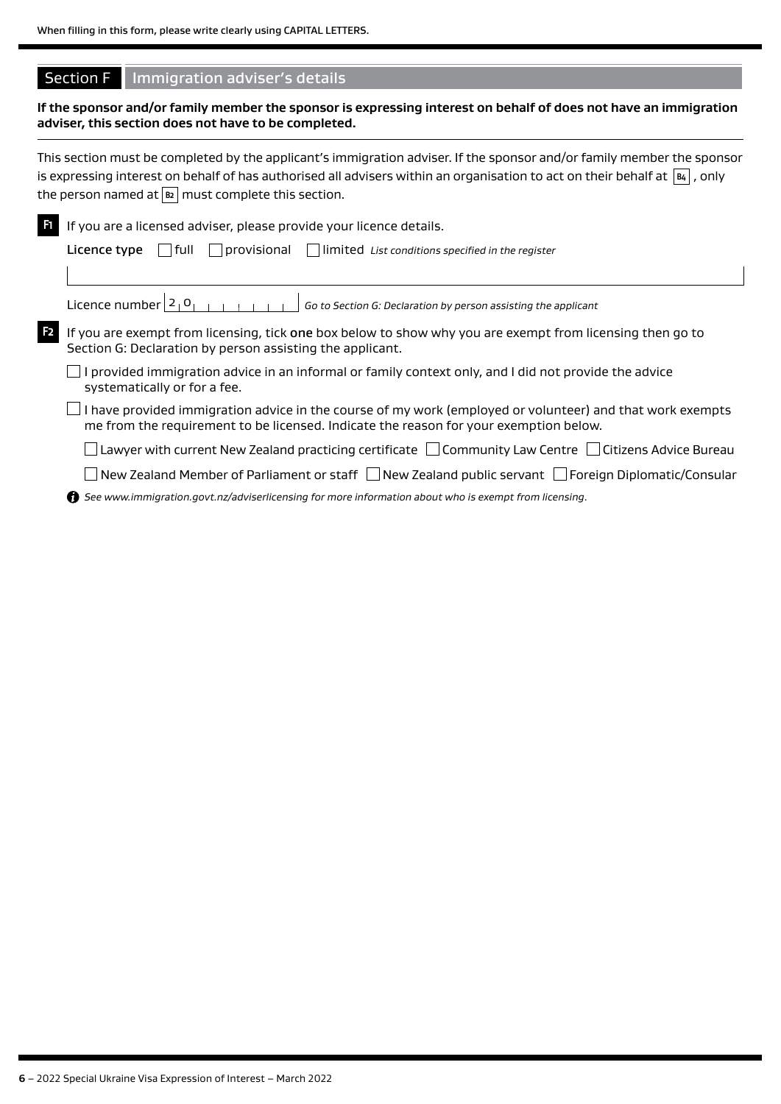# **Section F** Immigration adviser's details

**If the sponsor and/or family member the sponsor is expressing interest on behalf of does not have an immigration adviser, this section does not have to be completed.**

|                | This section must be completed by the applicant's immigration adviser. If the sponsor and/or family member the sponsor<br>is expressing interest on behalf of has authorised all advisers within an organisation to act on their behalf at $\overline{ \mathbf{a} }$ , only<br>the person named at $\boxed{B2}$ must complete this section. |
|----------------|---------------------------------------------------------------------------------------------------------------------------------------------------------------------------------------------------------------------------------------------------------------------------------------------------------------------------------------------|
| E1.            | If you are a licensed adviser, please provide your licence details.                                                                                                                                                                                                                                                                         |
|                | <b>Licence type</b> $\Box$ full $\Box$ provisional $\Box$   limited List conditions specified in the register                                                                                                                                                                                                                               |
|                |                                                                                                                                                                                                                                                                                                                                             |
|                | Licence number $21$ O<br>Go to Section G: Declaration by person assisting the applicant                                                                                                                                                                                                                                                     |
| F <sub>2</sub> | If you are exempt from licensing, tick one box below to show why you are exempt from licensing then go to<br>Section G: Declaration by person assisting the applicant.                                                                                                                                                                      |
|                | provided immigration advice in an informal or family context only, and I did not provide the advice<br>systematically or for a fee.                                                                                                                                                                                                         |
|                | I have provided immigration advice in the course of my work (employed or volunteer) and that work exempts<br>me from the requirement to be licensed. Indicate the reason for your exemption below.                                                                                                                                          |
|                | Lawyer with current New Zealand practicing certificate $\Box$ Community Law Centre $\Box$ Citizens Advice Bureau                                                                                                                                                                                                                            |
|                |                                                                                                                                                                                                                                                                                                                                             |

New Zealand Member of Parliament or staff  $\Box$  New Zealand public servant  $\Box$  Foreign Diplomatic/Consular

*See www.immigration.govt.nz/adviserlicensing for more information about who is exempt from licensing*.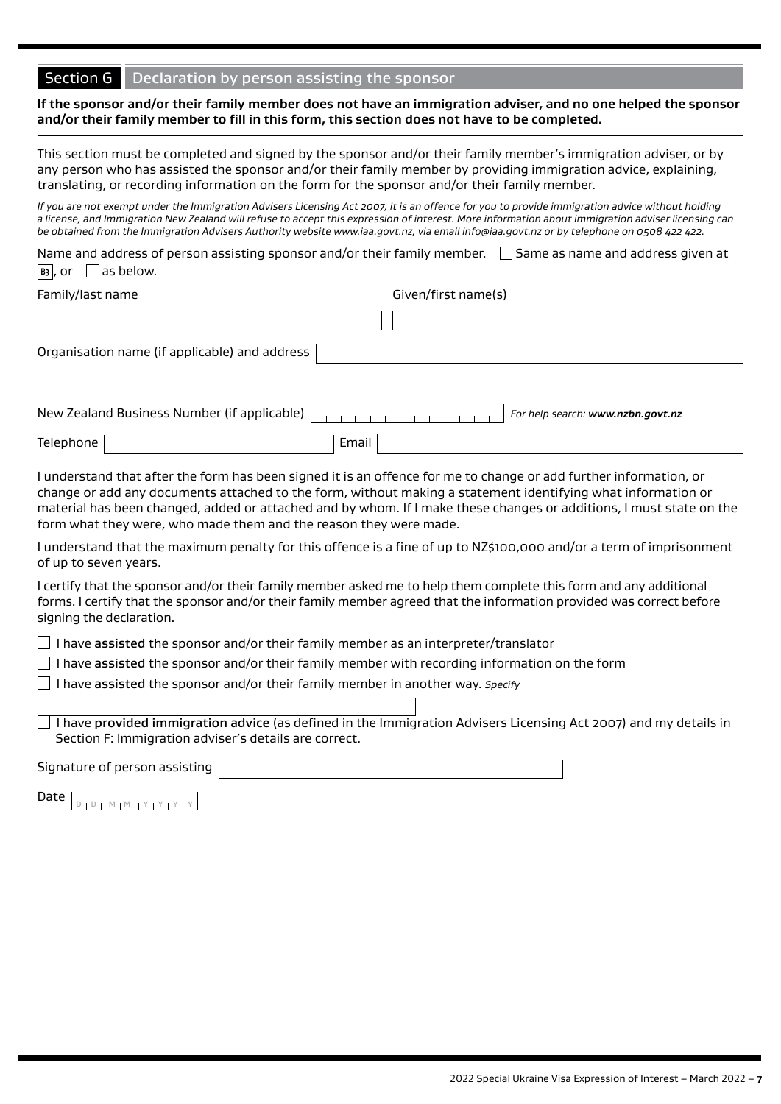# Section G Declaration by person assisting the sponsor

#### **If the sponsor and/or their family member does not have an immigration adviser, and no one helped the sponsor and/or their family member to fill in this form, this section does not have to be completed.**

This section must be completed and signed by the sponsor and/or their family member's immigration adviser, or by any person who has assisted the sponsor and/or their family member by providing immigration advice, explaining, translating, or recording information on the form for the sponsor and/or their family member.

*If you are not exempt under the Immigration Advisers Licensing Act 2007, it is an offence for you to provide immigration advice without holding a license, and Immigration New Zealand will refuse to accept this expression of interest. More information about immigration adviser licensing can be obtained from the Immigration Advisers Authority website www.iaa.govt.nz, via email info@iaa.govt.nz or by telephone on 0508 422 422.* 

Name and address of person assisting sponsor and/or their family member.  $\Box$  Same as name and address given at  $\boxed{B_3}$ , or  $\boxed{\phantom{b} }$  as below.

| Family/last name |
|------------------|
|------------------|

Given/first name(s)

Organisation name (if applicable) and address

|           |       |  |  | For help search: www.nzbn.govt.nz |
|-----------|-------|--|--|-----------------------------------|
| Telephone | Email |  |  |                                   |

I understand that after the form has been signed it is an offence for me to change or add further information, or change or add any documents attached to the form, without making a statement identifying what information or material has been changed, added or attached and by whom. If I make these changes or additions, I must state on the form what they were, who made them and the reason they were made.

I understand that the maximum penalty for this offence is a fine of up to NZ\$100,000 and/or a term of imprisonment of up to seven years.

I certify that the sponsor and/or their family member asked me to help them complete this form and any additional forms. I certify that the sponsor and/or their family member agreed that the information provided was correct before signing the declaration.

 $\Box$  I have assisted the sponsor and/or their family member as an interpreter/translator

 $\Box$  I have assisted the sponsor and/or their family member with recording information on the form

I have assisted the sponsor and/or their family member in another way. *Specify* 

I have provided immigration advice (as defined in the Immigration Advisers Licensing Act 2007) and my details in Section F: Immigration adviser's details are correct.

Signature of person assisting

Date  $\left[\begin{array}{c|c} D & D & D & M & M & N & Y & Y & Y \end{array}\right]$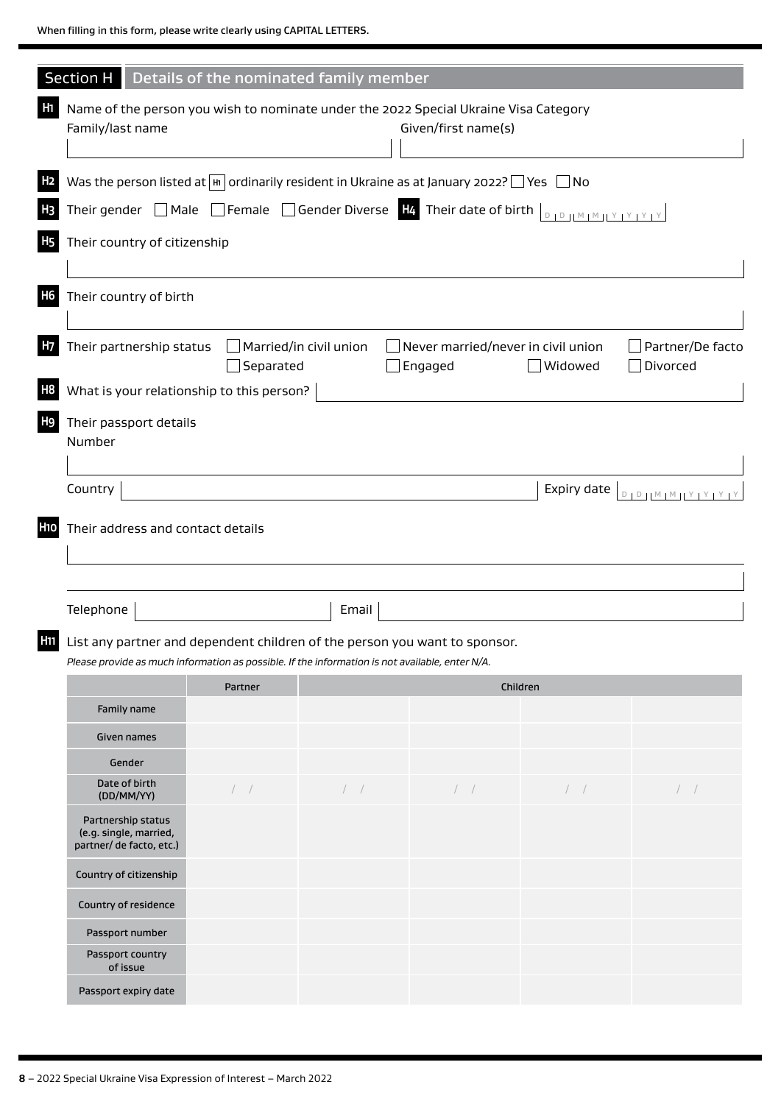| Section H                                                                                                                                                                                |                  | Details of the nominated family member |                                                      |                |                                     |  |  |  |  |  |
|------------------------------------------------------------------------------------------------------------------------------------------------------------------------------------------|------------------|----------------------------------------|------------------------------------------------------|----------------|-------------------------------------|--|--|--|--|--|
| Name of the person you wish to nominate under the 2022 Special Ukraine Visa Category<br>Family/last name                                                                                 |                  |                                        | Given/first name(s)                                  |                |                                     |  |  |  |  |  |
| Was the person listed at $\boxed{m}$ ordinarily resident in Ukraine as at January 2022? $\boxed{\phantom{m}}$ Yes $\boxed{\phantom{m}}$ No                                               |                  |                                        |                                                      |                |                                     |  |  |  |  |  |
| Their gender $\Box$ Male $\Box$ Female $\Box$ Gender Diverse $\Box$ Their date of birth $\Box$                                                                                           |                  |                                        |                                                      |                |                                     |  |  |  |  |  |
| Their country of citizenship                                                                                                                                                             |                  |                                        |                                                      |                |                                     |  |  |  |  |  |
|                                                                                                                                                                                          |                  |                                        |                                                      |                |                                     |  |  |  |  |  |
| Their country of birth                                                                                                                                                                   |                  |                                        |                                                      |                |                                     |  |  |  |  |  |
| Their partnership status                                                                                                                                                                 | $\Box$ Separated | Married/in civil union                 | $\Box$ Never married/never in civil union<br>Engaged | $\Box$ Widowed | Partner/De facto<br>$\Box$ Divorced |  |  |  |  |  |
| What is your relationship to this person?                                                                                                                                                |                  |                                        |                                                      |                |                                     |  |  |  |  |  |
| Their passport details<br>Number                                                                                                                                                         |                  |                                        |                                                      |                |                                     |  |  |  |  |  |
| Country                                                                                                                                                                                  |                  |                                        |                                                      | Expiry date    | $D + D + M + M + Y + Y + Y + Y$     |  |  |  |  |  |
| Their address and contact details                                                                                                                                                        |                  |                                        |                                                      |                |                                     |  |  |  |  |  |
|                                                                                                                                                                                          |                  |                                        |                                                      |                |                                     |  |  |  |  |  |
| Telephone                                                                                                                                                                                |                  | Email                                  |                                                      |                |                                     |  |  |  |  |  |
| <b>III</b> List any partner and dependent children of the person you want to sponsor.<br>Please provide as much information as possible. If the information is not available, enter N/A. |                  |                                        |                                                      |                |                                     |  |  |  |  |  |
|                                                                                                                                                                                          | Partner          |                                        |                                                      | Children       |                                     |  |  |  |  |  |
| Family name                                                                                                                                                                              |                  |                                        |                                                      |                |                                     |  |  |  |  |  |
| Given names                                                                                                                                                                              |                  |                                        |                                                      |                |                                     |  |  |  |  |  |
| Gender                                                                                                                                                                                   |                  |                                        |                                                      |                |                                     |  |  |  |  |  |
| Date of birth<br>(DD/MM/YY)                                                                                                                                                              | /                | $/$ $/$                                | $/$ $/$                                              | /              | $\left  \quad \right $              |  |  |  |  |  |
| Partnership status<br>(e.g. single, married,<br>partner/ de facto, etc.)                                                                                                                 |                  |                                        |                                                      |                |                                     |  |  |  |  |  |
| Country of citizenship                                                                                                                                                                   |                  |                                        |                                                      |                |                                     |  |  |  |  |  |
| Country of residence                                                                                                                                                                     |                  |                                        |                                                      |                |                                     |  |  |  |  |  |
| Passport number                                                                                                                                                                          |                  |                                        |                                                      |                |                                     |  |  |  |  |  |
| Passport country<br>of issue                                                                                                                                                             |                  |                                        |                                                      |                |                                     |  |  |  |  |  |
| Passport expiry date                                                                                                                                                                     |                  |                                        |                                                      |                |                                     |  |  |  |  |  |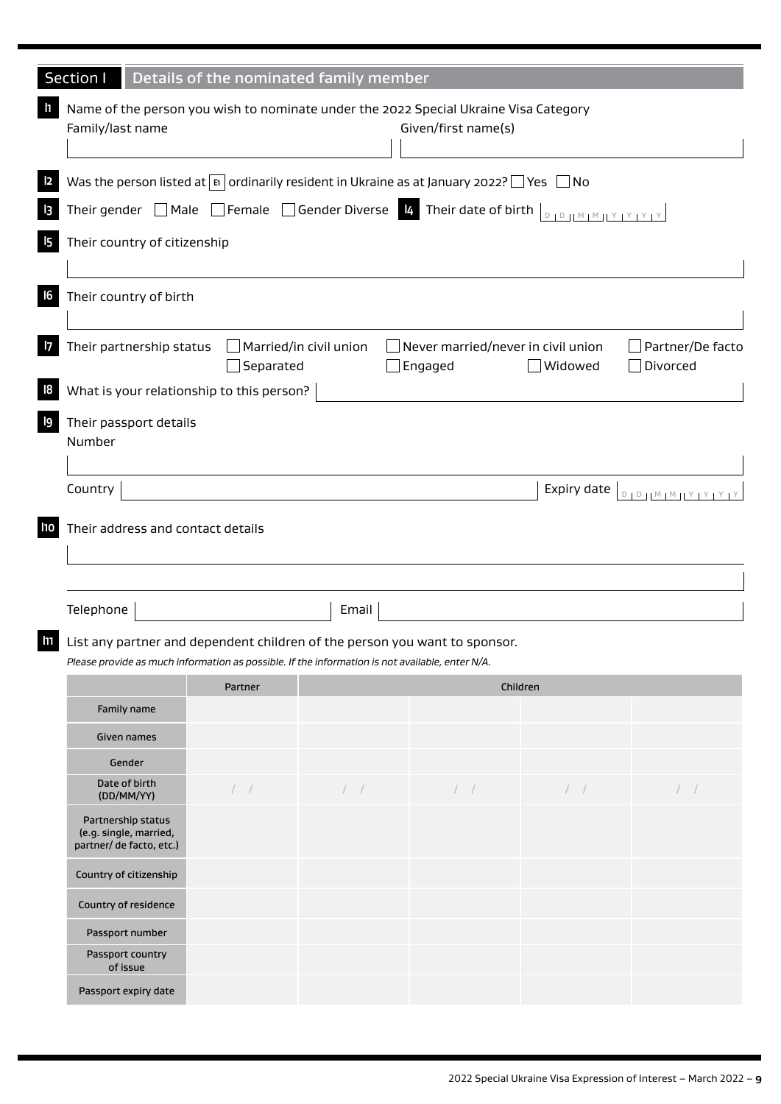| Section I                                                                                                                | Details of the nominated family member |                        |                                               |                |                                 |  |  |  |  |  |
|--------------------------------------------------------------------------------------------------------------------------|----------------------------------------|------------------------|-----------------------------------------------|----------------|---------------------------------|--|--|--|--|--|
|                                                                                                                          |                                        |                        |                                               |                |                                 |  |  |  |  |  |
| Name of the person you wish to nominate under the 2022 Special Ukraine Visa Category<br>Family/last name                 |                                        |                        | Given/first name(s)                           |                |                                 |  |  |  |  |  |
| Was the person listed at $\boxed{p}$ ordinarily resident in Ukraine as at January 2022? $\boxed{\ }$ Yes $\boxed{\ }$ No |                                        |                        |                                               |                |                                 |  |  |  |  |  |
| Their gender $\Box$ Male $\Box$ Female $\Box$ Gender Diverse $R$ Their date of birth $\Box_{D+D+M+M+V+V+V}$              |                                        |                        |                                               |                |                                 |  |  |  |  |  |
| Their country of citizenship                                                                                             |                                        |                        |                                               |                |                                 |  |  |  |  |  |
| Their country of birth                                                                                                   |                                        |                        |                                               |                |                                 |  |  |  |  |  |
| Their partnership status                                                                                                 | Separated                              | Married/in civil union | Never married/never in civil union<br>Engaged | $\Box$ Widowed | Partner/De facto<br>Divorced    |  |  |  |  |  |
| What is your relationship to this person?                                                                                |                                        |                        |                                               |                |                                 |  |  |  |  |  |
| Their passport details<br>Number                                                                                         |                                        |                        |                                               |                |                                 |  |  |  |  |  |
| Country                                                                                                                  |                                        |                        |                                               | Expiry date    |                                 |  |  |  |  |  |
|                                                                                                                          |                                        |                        |                                               |                | $D + D + M + M + Y + Y + Y + Y$ |  |  |  |  |  |
| Their address and contact details                                                                                        |                                        |                        |                                               |                |                                 |  |  |  |  |  |
|                                                                                                                          |                                        |                        |                                               |                |                                 |  |  |  |  |  |
| Telephone                                                                                                                |                                        | Email                  |                                               |                |                                 |  |  |  |  |  |
| List any partner and dependent children of the person you want to sponsor.                                               |                                        |                        |                                               |                |                                 |  |  |  |  |  |
| Please provide as much information as possible. If the information is not available, enter N/A.                          |                                        |                        |                                               |                |                                 |  |  |  |  |  |
|                                                                                                                          | Partner                                |                        | Children                                      |                |                                 |  |  |  |  |  |
| Family name                                                                                                              |                                        |                        |                                               |                |                                 |  |  |  |  |  |
| Given names                                                                                                              |                                        |                        |                                               |                |                                 |  |  |  |  |  |
| Gender                                                                                                                   |                                        |                        |                                               |                |                                 |  |  |  |  |  |
| Date of birth<br>(DD/MM/YY)                                                                                              | $\left  \quad \right $                 | $\left  \quad \right $ | $\left  \quad \right $                        | $/$ /          | $\left  \quad \right $          |  |  |  |  |  |
| Partnership status<br>(e.g. single, married,<br>partner/ de facto, etc.)                                                 |                                        |                        |                                               |                |                                 |  |  |  |  |  |
| Country of citizenship                                                                                                   |                                        |                        |                                               |                |                                 |  |  |  |  |  |
| Country of residence                                                                                                     |                                        |                        |                                               |                |                                 |  |  |  |  |  |
| Passport number                                                                                                          |                                        |                        |                                               |                |                                 |  |  |  |  |  |
| Passport country<br>of issue                                                                                             |                                        |                        |                                               |                |                                 |  |  |  |  |  |
| Passport expiry date                                                                                                     |                                        |                        |                                               |                |                                 |  |  |  |  |  |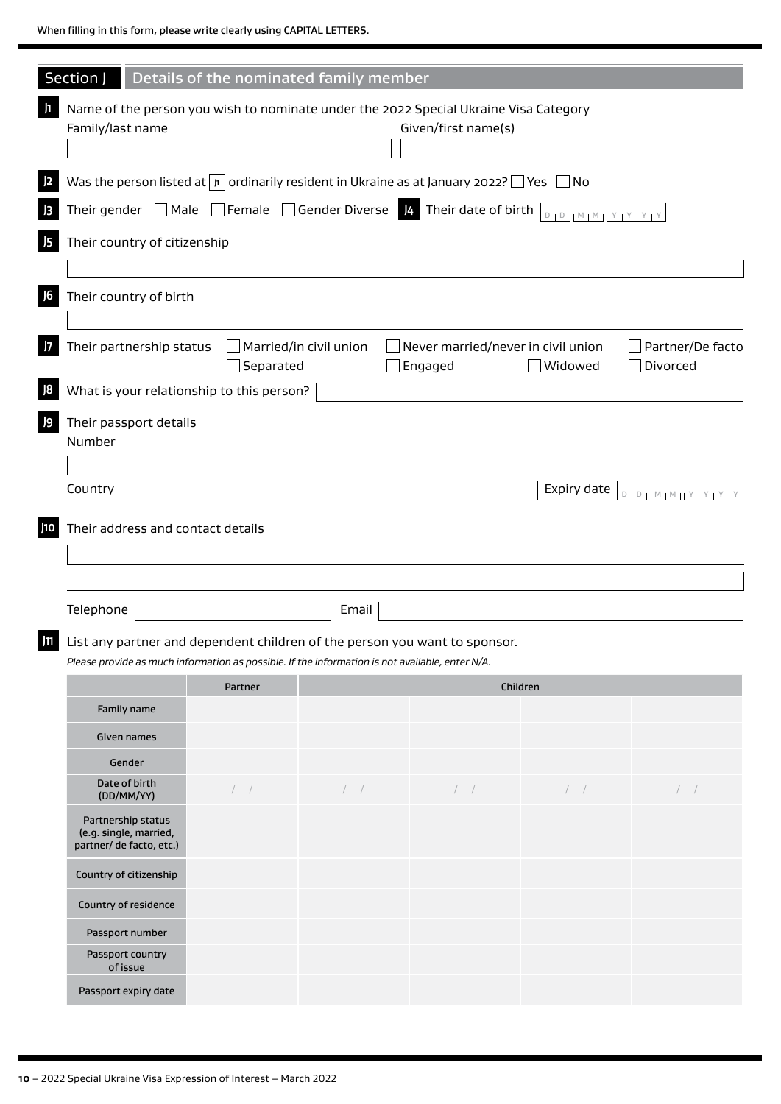| Section J                                                                                       |                                                                                                                                                                           | Details of the nominated family member |          |             |                                 |  |  |  |  |  |  |
|-------------------------------------------------------------------------------------------------|---------------------------------------------------------------------------------------------------------------------------------------------------------------------------|----------------------------------------|----------|-------------|---------------------------------|--|--|--|--|--|--|
| Family/last name                                                                                | Name of the person you wish to nominate under the 2022 Special Ukraine Visa Category<br>Given/first name(s)                                                               |                                        |          |             |                                 |  |  |  |  |  |  |
|                                                                                                 | Was the person listed at $\boxed{n}$ ordinarily resident in Ukraine as at January 2022? $\boxed{\phantom{1}}$ Yes $\boxed{\phantom{1}}$ No                                |                                        |          |             |                                 |  |  |  |  |  |  |
|                                                                                                 | Their gender $\Box$ Male $\Box$ Female $\Box$ Gender Diverse $\bm{k}$ Their date of birth $\Box_{\Box\Box\Box\Box\Box\Box}$                                               |                                        |          |             |                                 |  |  |  |  |  |  |
| Their country of citizenship                                                                    |                                                                                                                                                                           |                                        |          |             |                                 |  |  |  |  |  |  |
|                                                                                                 |                                                                                                                                                                           |                                        |          |             |                                 |  |  |  |  |  |  |
| Their country of birth                                                                          |                                                                                                                                                                           |                                        |          |             |                                 |  |  |  |  |  |  |
|                                                                                                 | Their partnership status<br>$\Box$ Married/in civil union<br>Never married/never in civil union<br>Partner/De facto<br>Separated<br>$\Box$ Widowed<br>Divorced<br>Engaged |                                        |          |             |                                 |  |  |  |  |  |  |
| What is your relationship to this person?                                                       |                                                                                                                                                                           |                                        |          |             |                                 |  |  |  |  |  |  |
| Their passport details                                                                          |                                                                                                                                                                           |                                        |          |             |                                 |  |  |  |  |  |  |
| Number                                                                                          |                                                                                                                                                                           |                                        |          |             |                                 |  |  |  |  |  |  |
| Country                                                                                         |                                                                                                                                                                           |                                        |          | Expiry date | $D + D + M + M + Y + Y + Y + Y$ |  |  |  |  |  |  |
| Their address and contact details                                                               |                                                                                                                                                                           |                                        |          |             |                                 |  |  |  |  |  |  |
|                                                                                                 |                                                                                                                                                                           |                                        |          |             |                                 |  |  |  |  |  |  |
|                                                                                                 |                                                                                                                                                                           |                                        |          |             |                                 |  |  |  |  |  |  |
| Telephone                                                                                       |                                                                                                                                                                           | Email                                  |          |             |                                 |  |  |  |  |  |  |
| List any partner and dependent children of the person you want to sponsor.                      |                                                                                                                                                                           |                                        |          |             |                                 |  |  |  |  |  |  |
| Please provide as much information as possible. If the information is not available, enter N/A. |                                                                                                                                                                           |                                        |          |             |                                 |  |  |  |  |  |  |
|                                                                                                 | Partner                                                                                                                                                                   |                                        | Children |             |                                 |  |  |  |  |  |  |
| Family name                                                                                     |                                                                                                                                                                           |                                        |          |             |                                 |  |  |  |  |  |  |
| Given names                                                                                     |                                                                                                                                                                           |                                        |          |             |                                 |  |  |  |  |  |  |
| Gender<br>Date of birth                                                                         |                                                                                                                                                                           |                                        |          |             |                                 |  |  |  |  |  |  |
| (DD/MM/YY)                                                                                      | $/$ $/$                                                                                                                                                                   | $/$ $/$                                | $/$ $/$  | /           | $\left  \quad \right $          |  |  |  |  |  |  |
| Partnership status<br>(e.g. single, married,<br>partner/ de facto, etc.)                        |                                                                                                                                                                           |                                        |          |             |                                 |  |  |  |  |  |  |
| Country of citizenship                                                                          |                                                                                                                                                                           |                                        |          |             |                                 |  |  |  |  |  |  |
| Country of residence                                                                            |                                                                                                                                                                           |                                        |          |             |                                 |  |  |  |  |  |  |
| Passport number                                                                                 |                                                                                                                                                                           |                                        |          |             |                                 |  |  |  |  |  |  |
| Passport country<br>of issue                                                                    |                                                                                                                                                                           |                                        |          |             |                                 |  |  |  |  |  |  |
| Passport expiry date                                                                            |                                                                                                                                                                           |                                        |          |             |                                 |  |  |  |  |  |  |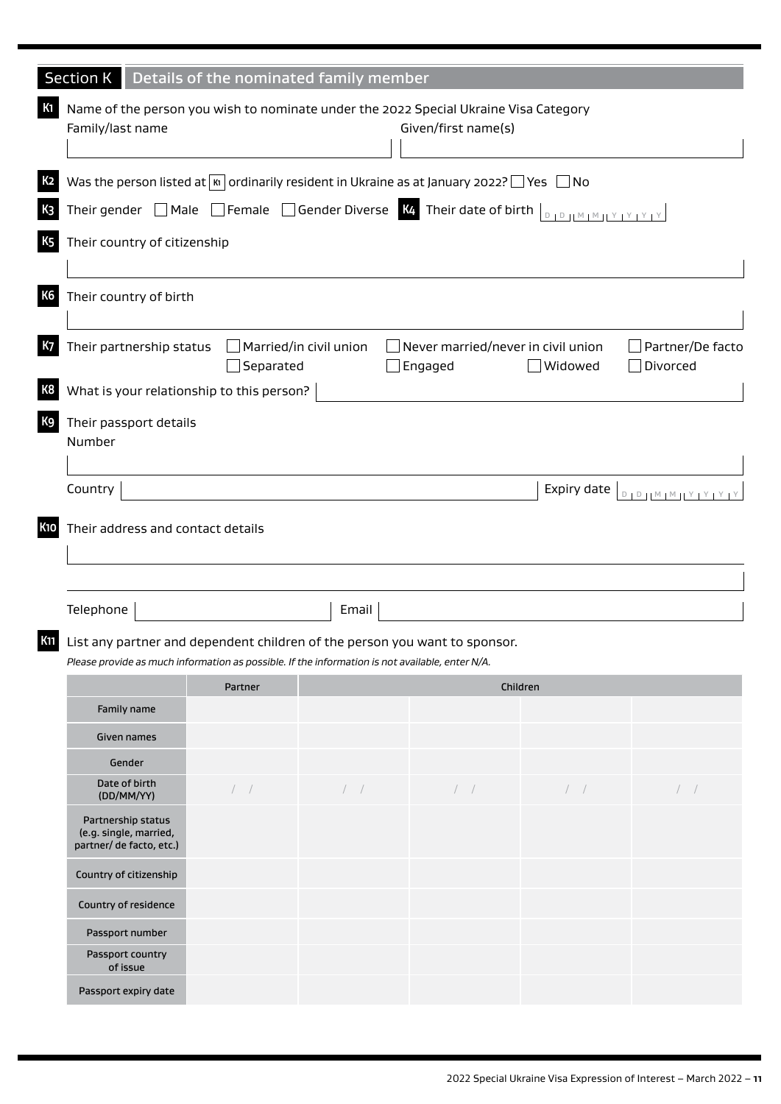| <b>Section K</b>                                                                                                                                                   |                | Details of the nominated family member |                        |             |                                 |  |  |  |  |  |
|--------------------------------------------------------------------------------------------------------------------------------------------------------------------|----------------|----------------------------------------|------------------------|-------------|---------------------------------|--|--|--|--|--|
| Name of the person you wish to nominate under the 2022 Special Ukraine Visa Category<br>Family/last name                                                           |                |                                        | Given/first name(s)    |             |                                 |  |  |  |  |  |
| Was the person listed at $\boxed{\kappa}$ ordinarily resident in Ukraine as at January 2022? $\boxed{\ }$ Yes $\boxed{\ }$ No                                      |                |                                        |                        |             |                                 |  |  |  |  |  |
| Their gender $\Box$ Male $\Box$ Female $\Box$ Gender Diverse $\frac{1}{2}$ . Their date of birth $\Box$                                                            |                |                                        |                        |             |                                 |  |  |  |  |  |
| Their country of citizenship                                                                                                                                       |                |                                        |                        |             |                                 |  |  |  |  |  |
| Their country of birth                                                                                                                                             |                |                                        |                        |             |                                 |  |  |  |  |  |
| Their partnership status<br>Married/in civil union<br>Never married/never in civil union<br>Partner/De facto<br>Separated<br>Engaged<br>$\Box$ Widowed<br>Divorced |                |                                        |                        |             |                                 |  |  |  |  |  |
| What is your relationship to this person?                                                                                                                          |                |                                        |                        |             |                                 |  |  |  |  |  |
| Their passport details<br>Number                                                                                                                                   |                |                                        |                        |             |                                 |  |  |  |  |  |
| Country                                                                                                                                                            |                |                                        |                        | Expiry date | $D + D + M + M + Y + Y + Y + Y$ |  |  |  |  |  |
| Their address and contact details<br>Telephone                                                                                                                     |                | Email                                  |                        |             |                                 |  |  |  |  |  |
| List any partner and dependent children of the person you want to sponsor.                                                                                         |                |                                        |                        |             |                                 |  |  |  |  |  |
| Please provide as much information as possible. If the information is not available, enter N/A.                                                                    |                |                                        |                        |             |                                 |  |  |  |  |  |
|                                                                                                                                                                    | <b>Partner</b> |                                        | Children               |             |                                 |  |  |  |  |  |
| Family name                                                                                                                                                        |                |                                        |                        |             |                                 |  |  |  |  |  |
| Given names                                                                                                                                                        |                |                                        |                        |             |                                 |  |  |  |  |  |
| Gender<br>Date of birth                                                                                                                                            |                |                                        |                        |             |                                 |  |  |  |  |  |
| (DD/MM/YY)                                                                                                                                                         | $/$ $/$        | /                                      | $\left  \quad \right $ | $/$ $/$     | /                               |  |  |  |  |  |
| Partnership status<br>(e.g. single, married,<br>partner/ de facto, etc.)                                                                                           |                |                                        |                        |             |                                 |  |  |  |  |  |
| Country of citizenship                                                                                                                                             |                |                                        |                        |             |                                 |  |  |  |  |  |
| Country of residence                                                                                                                                               |                |                                        |                        |             |                                 |  |  |  |  |  |
| Passport number                                                                                                                                                    |                |                                        |                        |             |                                 |  |  |  |  |  |
| Passport country<br>of issue                                                                                                                                       |                |                                        |                        |             |                                 |  |  |  |  |  |
| Passport expiry date                                                                                                                                               |                |                                        |                        |             |                                 |  |  |  |  |  |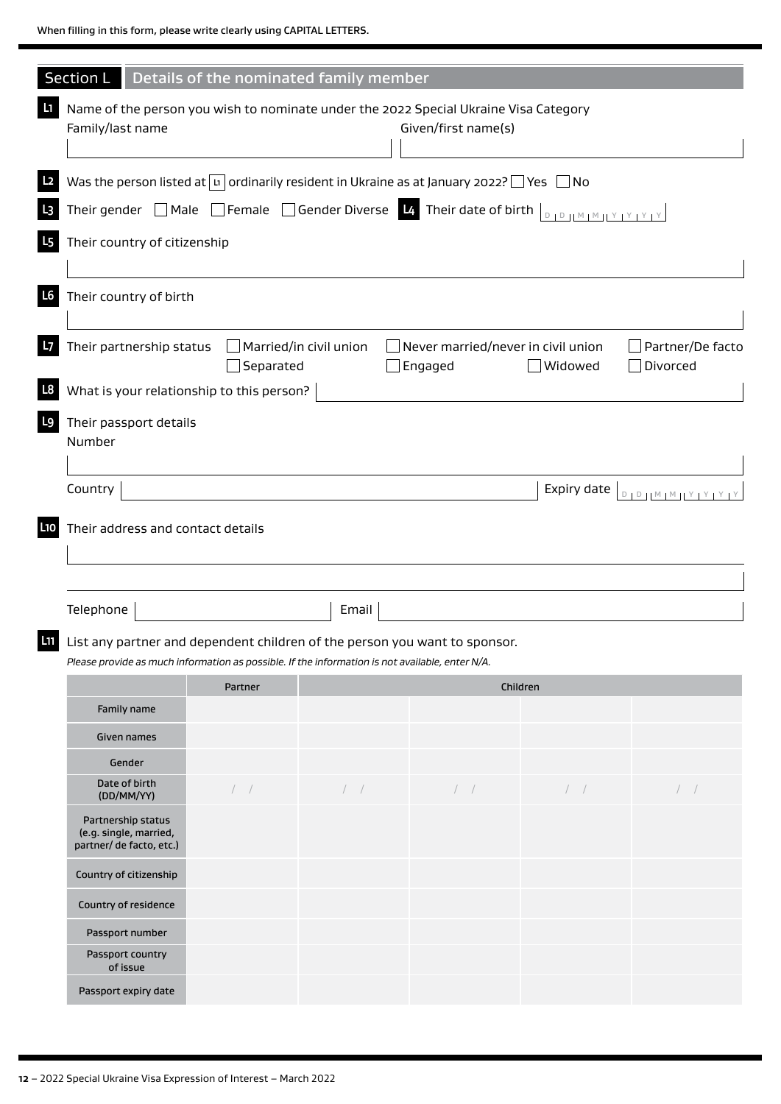| Section L                                                                                                |                                                                                                                                            | Details of the nominated family member |                                                      |                |                                     |  |  |  |  |  |  |
|----------------------------------------------------------------------------------------------------------|--------------------------------------------------------------------------------------------------------------------------------------------|----------------------------------------|------------------------------------------------------|----------------|-------------------------------------|--|--|--|--|--|--|
| Name of the person you wish to nominate under the 2022 Special Ukraine Visa Category<br>Family/last name |                                                                                                                                            |                                        | Given/first name(s)                                  |                |                                     |  |  |  |  |  |  |
|                                                                                                          | Was the person listed at $\boxed{u}$ ordinarily resident in Ukraine as at January 2022? $\boxed{\phantom{a}}$ Yes $\boxed{\phantom{a}}$ No |                                        |                                                      |                |                                     |  |  |  |  |  |  |
|                                                                                                          | Their gender $\Box$ Male $\Box$ Female $\Box$ Gender Diverse $\Box$ Their date of birth $\Box$                                             |                                        |                                                      |                |                                     |  |  |  |  |  |  |
| Their country of citizenship                                                                             |                                                                                                                                            |                                        |                                                      |                |                                     |  |  |  |  |  |  |
|                                                                                                          |                                                                                                                                            |                                        |                                                      |                |                                     |  |  |  |  |  |  |
| Their country of birth                                                                                   |                                                                                                                                            |                                        |                                                      |                |                                     |  |  |  |  |  |  |
| Their partnership status                                                                                 | $\Box$ Married/in civil union<br>$\Box$ Separated                                                                                          |                                        | $\Box$ Never married/never in civil union<br>Engaged | $\Box$ Widowed | Partner/De facto<br>$\Box$ Divorced |  |  |  |  |  |  |
| What is your relationship to this person?                                                                |                                                                                                                                            |                                        |                                                      |                |                                     |  |  |  |  |  |  |
| Their passport details<br>Number                                                                         |                                                                                                                                            |                                        |                                                      |                |                                     |  |  |  |  |  |  |
|                                                                                                          |                                                                                                                                            |                                        |                                                      |                |                                     |  |  |  |  |  |  |
| Country                                                                                                  |                                                                                                                                            |                                        |                                                      | Expiry date    | $D + D + M + M + Y + Y + Y + Y$     |  |  |  |  |  |  |
|                                                                                                          |                                                                                                                                            |                                        |                                                      |                |                                     |  |  |  |  |  |  |
| Telephone                                                                                                |                                                                                                                                            | Email                                  |                                                      |                |                                     |  |  |  |  |  |  |
| <b>II</b> List any partner and dependent children of the person you want to sponsor.                     |                                                                                                                                            |                                        |                                                      |                |                                     |  |  |  |  |  |  |
| Please provide as much information as possible. If the information is not available, enter N/A.          | Partner                                                                                                                                    |                                        |                                                      |                |                                     |  |  |  |  |  |  |
| Family name                                                                                              |                                                                                                                                            |                                        | Children                                             |                |                                     |  |  |  |  |  |  |
| Given names                                                                                              |                                                                                                                                            |                                        |                                                      |                |                                     |  |  |  |  |  |  |
| Gender                                                                                                   |                                                                                                                                            |                                        |                                                      |                |                                     |  |  |  |  |  |  |
| Date of birth<br>(DD/MM/YY)                                                                              | /                                                                                                                                          | $/$ $/$                                | $/$ $/$                                              | /              | $\left  \quad \right $              |  |  |  |  |  |  |
| Partnership status<br>(e.g. single, married,<br>partner/ de facto, etc.)                                 |                                                                                                                                            |                                        |                                                      |                |                                     |  |  |  |  |  |  |
| Country of citizenship                                                                                   |                                                                                                                                            |                                        |                                                      |                |                                     |  |  |  |  |  |  |
| Country of residence                                                                                     |                                                                                                                                            |                                        |                                                      |                |                                     |  |  |  |  |  |  |
| Passport number                                                                                          |                                                                                                                                            |                                        |                                                      |                |                                     |  |  |  |  |  |  |
| Passport country<br>of issue                                                                             |                                                                                                                                            |                                        |                                                      |                |                                     |  |  |  |  |  |  |
| Passport expiry date                                                                                     |                                                                                                                                            |                                        |                                                      |                |                                     |  |  |  |  |  |  |